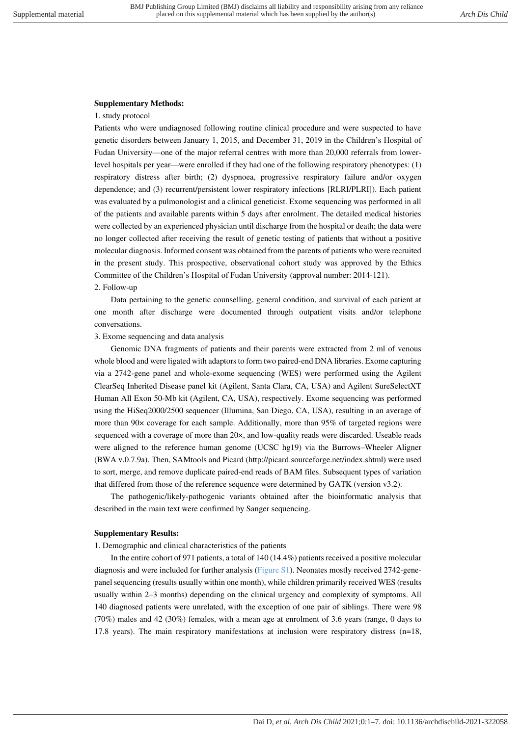## **Supplementary Methods:**

## 1. study protocol

Patients who were undiagnosed following routine clinical procedure and were suspected to have genetic disorders between January 1, 2015, and December 31, 2019 in the Children's Hospital of Fudan University—one of the major referral centres with more than 20,000 referrals from lowerlevel hospitals per year—were enrolled if they had one of the following respiratory phenotypes: (1) respiratory distress after birth; (2) dyspnoea, progressive respiratory failure and/or oxygen dependence; and (3) recurrent/persistent lower respiratory infections [RLRI/PLRI]). Each patient was evaluated by a pulmonologist and a clinical geneticist. Exome sequencing was performed in all of the patients and available parents within 5 days after enrolment. The detailed medical histories were collected by an experienced physician until discharge from the hospital or death; the data were no longer collected after receiving the result of genetic testing of patients that without a positive molecular diagnosis. Informed consent was obtained from the parents of patients who were recruited in the present study. This prospective, observational cohort study was approved by the Ethics Committee of the Children's Hospital of Fudan University (approval number: 2014-121). 2. Follow-up

Data pertaining to the genetic counselling, general condition, and survival of each patient at one month after discharge were documented through outpatient visits and/or telephone conversations.

## 3. Exome sequencing and data analysis

Genomic DNA fragments of patients and their parents were extracted from 2 ml of venous whole blood and were ligated with adaptors to form two paired-end DNA libraries. Exome capturing via a 2742-gene panel and whole-exome sequencing (WES) were performed using the Agilent ClearSeq Inherited Disease panel kit (Agilent, Santa Clara, CA, USA) and Agilent SureSelectXT Human All Exon 50-Mb kit (Agilent, CA, USA), respectively. Exome sequencing was performed using the HiSeq2000/2500 sequencer (Illumina, San Diego, CA, USA), resulting in an average of more than 90× coverage for each sample. Additionally, more than 95% of targeted regions were sequenced with a coverage of more than 20×, and low-quality reads were discarded. Useable reads were aligned to the reference human genome (UCSC hg19) via the Burrows–Wheeler Aligner (BWA v.0.7.9a). Then, SAMtools and Picard (http://picard.sourceforge.net/index.shtml) were used to sort, merge, and remove duplicate paired-end reads of BAM files. Subsequent types of variation that differed from those of the reference sequence were determined by GATK (version v3.2).

The pathogenic/likely-pathogenic variants obtained after the bioinformatic analysis that described in the main text were confirmed by Sanger sequencing.

## **Supplementary Results:**

1. Demographic and clinical characteristics of the patients

In the entire cohort of 971 patients, a total of 140 (14.4%) patients received a positive molecular diagnosis and were included for further analysis (Figure S1). Neonates mostly received 2742-genepanel sequencing (results usually within one month), while children primarily received WES (results usually within 2–3 months) depending on the clinical urgency and complexity of symptoms. All 140 diagnosed patients were unrelated, with the exception of one pair of siblings. There were 98 (70%) males and 42 (30%) females, with a mean age at enrolment of 3.6 years (range, 0 days to 17.8 years). The main respiratory manifestations at inclusion were respiratory distress (n=18,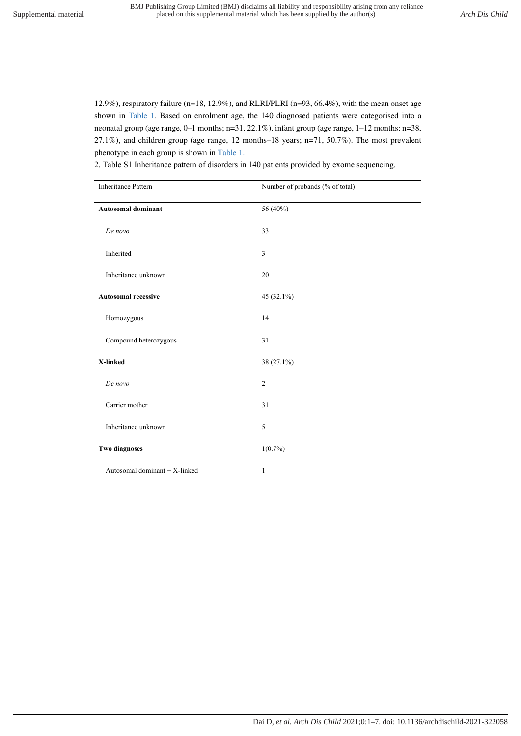12.9%), respiratory failure (n=18, 12.9%), and RLRI/PLRI (n=93, 66.4%), with the mean onset age shown in Table 1. Based on enrolment age, the 140 diagnosed patients were categorised into a neonatal group (age range, 0–1 months; n=31, 22.1%), infant group (age range, 1–12 months; n=38, 27.1%), and children group (age range, 12 months–18 years; n=71, 50.7%). The most prevalent phenotype in each group is shown in Table 1.

| <b>Inheritance Pattern</b>    | Number of probands (% of total) |
|-------------------------------|---------------------------------|
| <b>Autosomal dominant</b>     | 56 (40%)                        |
| De novo                       | 33                              |
| Inherited                     | 3                               |
| Inheritance unknown           | 20                              |
| <b>Autosomal recessive</b>    | 45 (32.1%)                      |
| Homozygous                    | 14                              |
| Compound heterozygous         | 31                              |
| X-linked                      | 38 (27.1%)                      |
| De novo                       | $\overline{2}$                  |
| Carrier mother                | 31                              |
| Inheritance unknown           | 5                               |
| <b>Two diagnoses</b>          | $1(0.7\%)$                      |
| Autosomal dominant + X-linked | 1                               |

2. Table S1 Inheritance pattern of disorders in 140 patients provided by exome sequencing.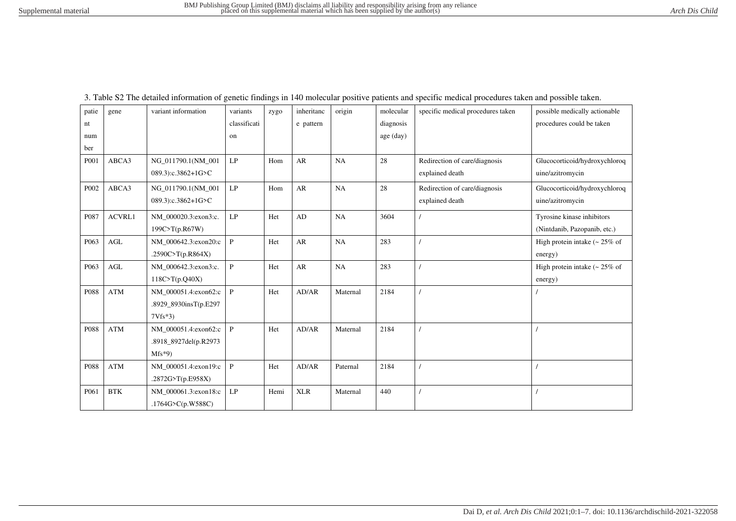| classificati<br>procedures could be taken<br>diagnosis<br>e pattern<br>nt<br>age (day)<br>num<br>on<br>ber<br>AR<br>ABCA3<br>LP<br>NA<br>28<br>P001<br>NG 011790.1(NM 001<br>Hom<br>Redirection of care/diagnosis<br>Glucocorticoid/hydroxychloroq<br>uine/azitromycin<br>089.3):c.3862+1G>C<br>explained death<br>ABCA3<br>LP<br>AR<br>Hom<br>NA<br>28<br>Glucocorticoid/hydroxychloroq<br>P <sub>002</sub><br>NG_011790.1(NM_001<br>Redirection of care/diagnosis<br>explained death<br>uine/azitromycin<br>089.3):c.3862+1G>C<br>LP<br><b>ACVRL1</b><br>Het<br>AD<br>NA<br>3604<br>P087<br>NM 000020.3:exon3:c.<br>Tyrosine kinase inhibitors<br>199C>T(p.R67W)<br>(Nintdanib, Pazopanib, etc.)<br>$\operatorname{AGL}$<br>$\mathbf{P}$<br>${\sf AR}$<br>NA<br>283<br>P <sub>063</sub><br>NM_000642.3:exon20:c<br>Het<br>High protein intake $\approx 25\%$ of<br>.2590C>T(p.R864X)<br>energy)<br><b>AGL</b><br>${\bf P}$<br>AR<br>Het<br>NA<br>283<br>P063<br>NM 000642.3:exon3:c.<br>High protein intake $\sim 25\%$ of<br>118C > T(p.Q40X)<br>energy)<br>$\mathbf{ATM}$<br>$\mathbf{P}$<br>Het<br>AD/AR<br>2184<br>P088<br>NM_000051.4:exon62:c<br>Maternal<br>.8929_8930insT(p.E297<br>$7Vfs*3$<br>$\mathbf{P}$<br><b>ATM</b><br>Het<br>AD/AR<br>2184<br>P088<br>NM_000051.4:exon62:c<br>Maternal<br>.8918_8927del(p.R2973<br>$Mfs*9$<br><b>ATM</b><br>$\, {\bf P}$<br>Het<br>P088<br>NM_000051.4:exon19:c<br>AD/AR<br>Paternal<br>2184<br>.2872G>T(p.E958X)<br><b>BTK</b><br>NM_000061.3:exon18:c<br>LP<br><b>XLR</b><br>440<br>Hemi<br>P <sub>061</sub><br>Maternal<br>.1764G>C(p.W588C) | patie | gene | variant information | variants | zygo | inheritanc | origin | molecular | specific medical procedures taken | possible medically actionable |
|---------------------------------------------------------------------------------------------------------------------------------------------------------------------------------------------------------------------------------------------------------------------------------------------------------------------------------------------------------------------------------------------------------------------------------------------------------------------------------------------------------------------------------------------------------------------------------------------------------------------------------------------------------------------------------------------------------------------------------------------------------------------------------------------------------------------------------------------------------------------------------------------------------------------------------------------------------------------------------------------------------------------------------------------------------------------------------------------------------------------------------------------------------------------------------------------------------------------------------------------------------------------------------------------------------------------------------------------------------------------------------------------------------------------------------------------------------------------------------------------------------------------------------------------------------------------------------------------------|-------|------|---------------------|----------|------|------------|--------|-----------|-----------------------------------|-------------------------------|
|                                                                                                                                                                                                                                                                                                                                                                                                                                                                                                                                                                                                                                                                                                                                                                                                                                                                                                                                                                                                                                                                                                                                                                                                                                                                                                                                                                                                                                                                                                                                                                                                   |       |      |                     |          |      |            |        |           |                                   |                               |
|                                                                                                                                                                                                                                                                                                                                                                                                                                                                                                                                                                                                                                                                                                                                                                                                                                                                                                                                                                                                                                                                                                                                                                                                                                                                                                                                                                                                                                                                                                                                                                                                   |       |      |                     |          |      |            |        |           |                                   |                               |
|                                                                                                                                                                                                                                                                                                                                                                                                                                                                                                                                                                                                                                                                                                                                                                                                                                                                                                                                                                                                                                                                                                                                                                                                                                                                                                                                                                                                                                                                                                                                                                                                   |       |      |                     |          |      |            |        |           |                                   |                               |
|                                                                                                                                                                                                                                                                                                                                                                                                                                                                                                                                                                                                                                                                                                                                                                                                                                                                                                                                                                                                                                                                                                                                                                                                                                                                                                                                                                                                                                                                                                                                                                                                   |       |      |                     |          |      |            |        |           |                                   |                               |
|                                                                                                                                                                                                                                                                                                                                                                                                                                                                                                                                                                                                                                                                                                                                                                                                                                                                                                                                                                                                                                                                                                                                                                                                                                                                                                                                                                                                                                                                                                                                                                                                   |       |      |                     |          |      |            |        |           |                                   |                               |
|                                                                                                                                                                                                                                                                                                                                                                                                                                                                                                                                                                                                                                                                                                                                                                                                                                                                                                                                                                                                                                                                                                                                                                                                                                                                                                                                                                                                                                                                                                                                                                                                   |       |      |                     |          |      |            |        |           |                                   |                               |
|                                                                                                                                                                                                                                                                                                                                                                                                                                                                                                                                                                                                                                                                                                                                                                                                                                                                                                                                                                                                                                                                                                                                                                                                                                                                                                                                                                                                                                                                                                                                                                                                   |       |      |                     |          |      |            |        |           |                                   |                               |
|                                                                                                                                                                                                                                                                                                                                                                                                                                                                                                                                                                                                                                                                                                                                                                                                                                                                                                                                                                                                                                                                                                                                                                                                                                                                                                                                                                                                                                                                                                                                                                                                   |       |      |                     |          |      |            |        |           |                                   |                               |
|                                                                                                                                                                                                                                                                                                                                                                                                                                                                                                                                                                                                                                                                                                                                                                                                                                                                                                                                                                                                                                                                                                                                                                                                                                                                                                                                                                                                                                                                                                                                                                                                   |       |      |                     |          |      |            |        |           |                                   |                               |
|                                                                                                                                                                                                                                                                                                                                                                                                                                                                                                                                                                                                                                                                                                                                                                                                                                                                                                                                                                                                                                                                                                                                                                                                                                                                                                                                                                                                                                                                                                                                                                                                   |       |      |                     |          |      |            |        |           |                                   |                               |
|                                                                                                                                                                                                                                                                                                                                                                                                                                                                                                                                                                                                                                                                                                                                                                                                                                                                                                                                                                                                                                                                                                                                                                                                                                                                                                                                                                                                                                                                                                                                                                                                   |       |      |                     |          |      |            |        |           |                                   |                               |
|                                                                                                                                                                                                                                                                                                                                                                                                                                                                                                                                                                                                                                                                                                                                                                                                                                                                                                                                                                                                                                                                                                                                                                                                                                                                                                                                                                                                                                                                                                                                                                                                   |       |      |                     |          |      |            |        |           |                                   |                               |
|                                                                                                                                                                                                                                                                                                                                                                                                                                                                                                                                                                                                                                                                                                                                                                                                                                                                                                                                                                                                                                                                                                                                                                                                                                                                                                                                                                                                                                                                                                                                                                                                   |       |      |                     |          |      |            |        |           |                                   |                               |
|                                                                                                                                                                                                                                                                                                                                                                                                                                                                                                                                                                                                                                                                                                                                                                                                                                                                                                                                                                                                                                                                                                                                                                                                                                                                                                                                                                                                                                                                                                                                                                                                   |       |      |                     |          |      |            |        |           |                                   |                               |
|                                                                                                                                                                                                                                                                                                                                                                                                                                                                                                                                                                                                                                                                                                                                                                                                                                                                                                                                                                                                                                                                                                                                                                                                                                                                                                                                                                                                                                                                                                                                                                                                   |       |      |                     |          |      |            |        |           |                                   |                               |
|                                                                                                                                                                                                                                                                                                                                                                                                                                                                                                                                                                                                                                                                                                                                                                                                                                                                                                                                                                                                                                                                                                                                                                                                                                                                                                                                                                                                                                                                                                                                                                                                   |       |      |                     |          |      |            |        |           |                                   |                               |
|                                                                                                                                                                                                                                                                                                                                                                                                                                                                                                                                                                                                                                                                                                                                                                                                                                                                                                                                                                                                                                                                                                                                                                                                                                                                                                                                                                                                                                                                                                                                                                                                   |       |      |                     |          |      |            |        |           |                                   |                               |
|                                                                                                                                                                                                                                                                                                                                                                                                                                                                                                                                                                                                                                                                                                                                                                                                                                                                                                                                                                                                                                                                                                                                                                                                                                                                                                                                                                                                                                                                                                                                                                                                   |       |      |                     |          |      |            |        |           |                                   |                               |
|                                                                                                                                                                                                                                                                                                                                                                                                                                                                                                                                                                                                                                                                                                                                                                                                                                                                                                                                                                                                                                                                                                                                                                                                                                                                                                                                                                                                                                                                                                                                                                                                   |       |      |                     |          |      |            |        |           |                                   |                               |
|                                                                                                                                                                                                                                                                                                                                                                                                                                                                                                                                                                                                                                                                                                                                                                                                                                                                                                                                                                                                                                                                                                                                                                                                                                                                                                                                                                                                                                                                                                                                                                                                   |       |      |                     |          |      |            |        |           |                                   |                               |
|                                                                                                                                                                                                                                                                                                                                                                                                                                                                                                                                                                                                                                                                                                                                                                                                                                                                                                                                                                                                                                                                                                                                                                                                                                                                                                                                                                                                                                                                                                                                                                                                   |       |      |                     |          |      |            |        |           |                                   |                               |
|                                                                                                                                                                                                                                                                                                                                                                                                                                                                                                                                                                                                                                                                                                                                                                                                                                                                                                                                                                                                                                                                                                                                                                                                                                                                                                                                                                                                                                                                                                                                                                                                   |       |      |                     |          |      |            |        |           |                                   |                               |
|                                                                                                                                                                                                                                                                                                                                                                                                                                                                                                                                                                                                                                                                                                                                                                                                                                                                                                                                                                                                                                                                                                                                                                                                                                                                                                                                                                                                                                                                                                                                                                                                   |       |      |                     |          |      |            |        |           |                                   |                               |

3. Table S2 The detailed information of genetic findings in 140 molecular positive patients and specific medical procedures taken and possible taken.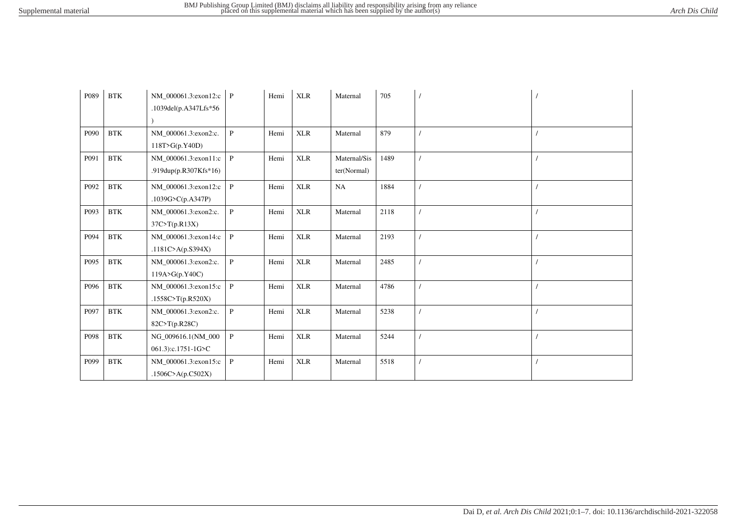| P089 | <b>BTK</b>           | NM_000061.3:exon12:c<br>.1039del(p.A347Lfs*56 | $\mathbf{P}$ | Hemi | <b>XLR</b> | Maternal                    | 705  |  |
|------|----------------------|-----------------------------------------------|--------------|------|------------|-----------------------------|------|--|
| P090 | <b>BTK</b>           | NM_000061.3:exon2:c.<br>118T>G(p.Y40D)        | $\mathbf{P}$ | Hemi | <b>XLR</b> | Maternal                    | 879  |  |
| P091 | $\operatorname{BTK}$ | NM 000061.3:exon11:c<br>.919dup(p.R307Kfs*16) | $\mathbf{P}$ | Hemi | <b>XLR</b> | Maternal/Sis<br>ter(Normal) | 1489 |  |
| P092 | $\operatorname{BTK}$ | NM_000061.3:exon12:c<br>.1039G>C(p.A347P)     | P            | Hemi | <b>XLR</b> | NA                          | 1884 |  |
| P093 | $\operatorname{BTK}$ | NM_000061.3:exon2:c.<br>37C > T(p.R13X)       | $\mathbf{P}$ | Hemi | <b>XLR</b> | Maternal                    | 2118 |  |
| P094 | $\operatorname{BTK}$ | NM_000061.3:exon14:c<br>.1181C>A( $p.S394X$ ) | $\, {\bf P}$ | Hemi | <b>XLR</b> | Maternal                    | 2193 |  |
| P095 | $\operatorname{BTK}$ | NM_000061.3:exon2:c.<br>119A > G(p.Y40C)      | P            | Hemi | <b>XLR</b> | Maternal                    | 2485 |  |
| P096 | $\operatorname{BTK}$ | NM_000061.3:exon15:c<br>.1558C>T(p.R520X)     | P            | Hemi | <b>XLR</b> | Maternal                    | 4786 |  |
| P097 | $\operatorname{BTK}$ | NM_000061.3:exon2:c.<br>82C>T(p.R28C)         | $\mathbf{P}$ | Hemi | <b>XLR</b> | Maternal                    | 5238 |  |
| P098 | $\operatorname{BTK}$ | NG_009616.1(NM_000<br>061.3):c.1751-1G>C      | $\mathbf{P}$ | Hemi | <b>XLR</b> | Maternal                    | 5244 |  |
| P099 | <b>BTK</b>           | NM_000061.3:exon15:c<br>.1506C>A(p.C502X)     | $\mathbf{P}$ | Hemi | <b>XLR</b> | Maternal                    | 5518 |  |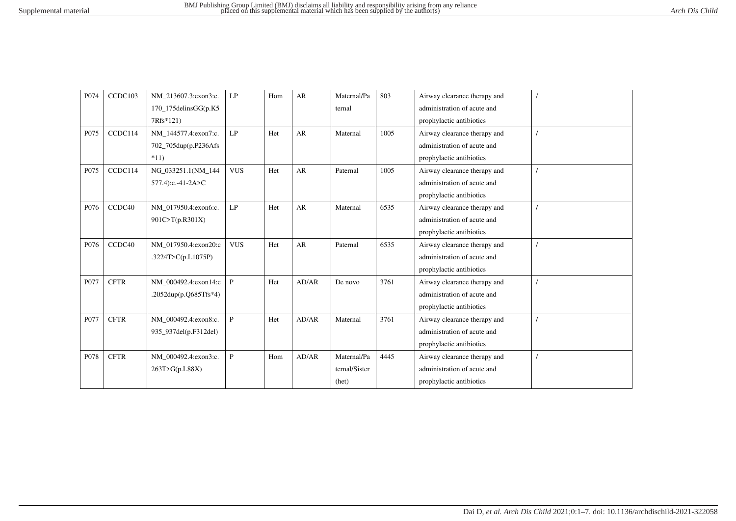| P074             | CCDC103     | NM 213607.3:exon3:c.    | LP                     | Hom | AR    | Maternal/Pa   | 803  | Airway clearance therapy and |  |
|------------------|-------------|-------------------------|------------------------|-----|-------|---------------|------|------------------------------|--|
|                  |             | $170$ _175delinsGG(p.K5 |                        |     |       | ternal        |      | administration of acute and  |  |
|                  |             | 7Rfs*121)               |                        |     |       |               |      | prophylactic antibiotics     |  |
| P <sub>075</sub> | CCDC114     | NM 144577.4:exon7:c.    | LP                     | Het | AR    | Maternal      | 1005 | Airway clearance therapy and |  |
|                  |             | 702_705dup(p.P236Afs    |                        |     |       |               |      | administration of acute and  |  |
|                  |             | $*11)$                  |                        |     |       |               |      | prophylactic antibiotics     |  |
| P075             | CCDC114     | NG_033251.1(NM_144      | <b>VUS</b>             | Het | AR    | Paternal      | 1005 | Airway clearance therapy and |  |
|                  |             | 577.4):c.-41-2A>C       |                        |     |       |               |      | administration of acute and  |  |
|                  |             |                         |                        |     |       |               |      | prophylactic antibiotics     |  |
| P076             | CCDC40      | NM 017950.4:exon6:c.    | $\mathrm{L}\mathrm{P}$ | Het | AR    | Maternal      | 6535 | Airway clearance therapy and |  |
|                  |             | 901C>T(p.R301X)         |                        |     |       |               |      | administration of acute and  |  |
|                  |             |                         |                        |     |       |               |      | prophylactic antibiotics     |  |
| P076             | CCDC40      | NM 017950.4:exon20:c    | <b>VUS</b>             | Het | AR    | Paternal      | 6535 | Airway clearance therapy and |  |
|                  |             | .3224T>C(p.L1075P)      |                        |     |       |               |      | administration of acute and  |  |
|                  |             |                         |                        |     |       |               |      | prophylactic antibiotics     |  |
| P077             | <b>CFTR</b> | NM 000492.4:exon14:c    | P                      | Het | AD/AR | De novo       | 3761 | Airway clearance therapy and |  |
|                  |             | .2052dup(p.Q685Tfs*4)   |                        |     |       |               |      | administration of acute and  |  |
|                  |             |                         |                        |     |       |               |      | prophylactic antibiotics     |  |
| P077             | <b>CFTR</b> | NM_000492.4:exon8:c.    | $\mathbf{P}$           | Het | AD/AR | Maternal      | 3761 | Airway clearance therapy and |  |
|                  |             | 935_937del(p.F312del)   |                        |     |       |               |      | administration of acute and  |  |
|                  |             |                         |                        |     |       |               |      | prophylactic antibiotics     |  |
| P078             | <b>CFTR</b> | NM_000492.4:exon3:c.    | $\mathbf{P}$           | Hom | AD/AR | Maternal/Pa   | 4445 | Airway clearance therapy and |  |
|                  |             | 263T>G(p.L88X)          |                        |     |       | ternal/Sister |      | administration of acute and  |  |
|                  |             |                         |                        |     |       | (het)         |      | prophylactic antibiotics     |  |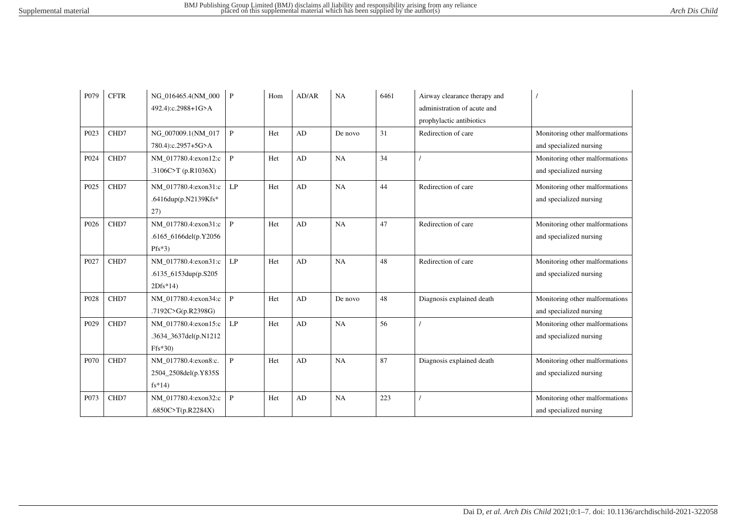| P079             | <b>CFTR</b> | NG_016465.4(NM_000    | $\mathbf{P}$  | Hom | AD/AR                  | NA      | 6461 | Airway clearance therapy and |                                |
|------------------|-------------|-----------------------|---------------|-----|------------------------|---------|------|------------------------------|--------------------------------|
|                  |             | 492.4):c.2988+1G>A    |               |     |                        |         |      | administration of acute and  |                                |
|                  |             |                       |               |     |                        |         |      | prophylactic antibiotics     |                                |
| P023             | CHD7        | NG 007009.1(NM 017    | $\mathbf{P}$  | Het | AD                     | De novo | 31   | Redirection of care          | Monitoring other malformations |
|                  |             | 780.4):c.2957+5G>A    |               |     |                        |         |      |                              | and specialized nursing        |
| P024             | CHD7        | NM 017780.4:exon12:c  | $\mathbf{P}$  | Het | AD                     | NA      | 34   |                              | Monitoring other malformations |
|                  |             | .3106C>T $(p.R1036X)$ |               |     |                        |         |      |                              | and specialized nursing        |
| P025             | CHD7        | NM_017780.4:exon31:c  | LP            | Het | AD                     | NA      | 44   | Redirection of care          | Monitoring other malformations |
|                  |             | .6416dup(p.N2139Kfs*  |               |     |                        |         |      |                              | and specialized nursing        |
|                  |             | 27)                   |               |     |                        |         |      |                              |                                |
| P <sub>026</sub> | CHD7        | NM 017780.4:exon31:c  | $\mathbf{P}$  | Het | AD                     | NA      | 47   | Redirection of care          | Monitoring other malformations |
|                  |             | .6165_6166del(p.Y2056 |               |     |                        |         |      |                              | and specialized nursing        |
|                  |             | $Pfs*3)$              |               |     |                        |         |      |                              |                                |
| P <sub>027</sub> | CHD7        | NM 017780.4:exon31:c  | LP            | Het | AD                     | NA      | 48   | Redirection of care          | Monitoring other malformations |
|                  |             | .6135_6153dup(p.S205  |               |     |                        |         |      |                              | and specialized nursing        |
|                  |             | $2Dfs*14$             |               |     |                        |         |      |                              |                                |
| P028             | CHD7        | NM 017780.4:exon34:c  | $\mathbf{P}$  | Het | AD                     | De novo | 48   | Diagnosis explained death    | Monitoring other malformations |
|                  |             | .7192C>G(p.R2398G)    |               |     |                        |         |      |                              | and specialized nursing        |
| P <sub>029</sub> | CHD7        | NM 017780.4:exon15:c  | $\mathrm{LP}$ | Het | $\mathbf{A}\mathbf{D}$ | NA      | 56   |                              | Monitoring other malformations |
|                  |             | .3634_3637del(p.N1212 |               |     |                        |         |      |                              | and specialized nursing        |
|                  |             | $Ffs*30$              |               |     |                        |         |      |                              |                                |
| P070             | CHD7        | NM_017780.4:exon8:c.  | $\mathbf{P}$  | Het | AD                     | NA      | 87   | Diagnosis explained death    | Monitoring other malformations |
|                  |             | 2504_2508del(p.Y835S  |               |     |                        |         |      |                              | and specialized nursing        |
|                  |             | $fs*14)$              |               |     |                        |         |      |                              |                                |
| P073             | CHD7        | NM_017780.4:exon32:c  | $\mathbf{P}$  | Het | AD                     | NA      | 223  |                              | Monitoring other malformations |
|                  |             | .6850C>T(p.R2284X)    |               |     |                        |         |      |                              | and specialized nursing        |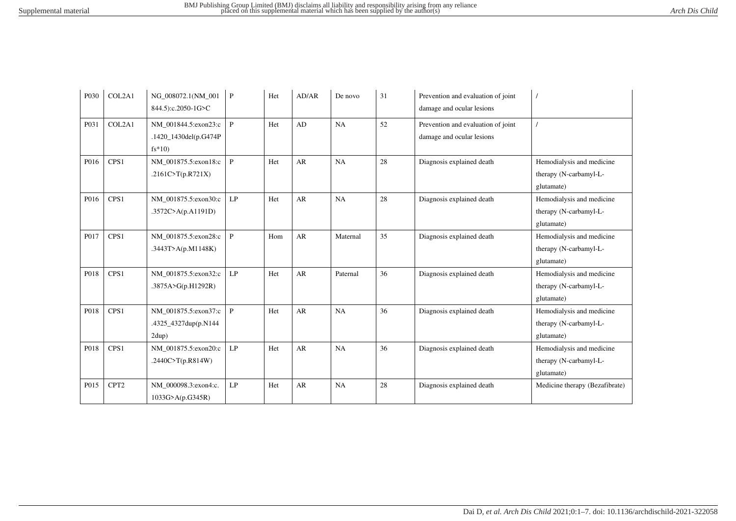| P <sub>0</sub> 30 | COL2A1           | NG_008072.1(NM_001<br>844.5):c.2050-1G>C                  | $\mathbf{P}$  | Het | AD/AR     | De novo  | 31 | Prevention and evaluation of joint<br>damage and ocular lesions |                                                                   |
|-------------------|------------------|-----------------------------------------------------------|---------------|-----|-----------|----------|----|-----------------------------------------------------------------|-------------------------------------------------------------------|
| P031              | COL2A1           | NM 001844.5:exon23:c<br>.1420_1430del(p.G474P<br>$fs*10)$ | $\mathbf{P}$  | Het | AD        | NA       | 52 | Prevention and evaluation of joint<br>damage and ocular lesions |                                                                   |
| P016              | CPS <sub>1</sub> | NM 001875.5:exon18:c<br>.2161C>T(p.R721X)                 | $\mathbf{P}$  | Het | AR        | NA       | 28 | Diagnosis explained death                                       | Hemodialysis and medicine<br>therapy (N-carbamyl-L-<br>glutamate) |
| P016              | CPS <sub>1</sub> | NM 001875.5:exon30:c<br>.3572C>A(p.A1191D)                | LP            | Het | <b>AR</b> | NA       | 28 | Diagnosis explained death                                       | Hemodialysis and medicine<br>therapy (N-carbamyl-L-<br>glutamate) |
| P017              | CPS1             | NM_001875.5:exon28:c<br>.3443T>A( $p.M1148K$ )            | P             | Hom | AR        | Maternal | 35 | Diagnosis explained death                                       | Hemodialysis and medicine<br>therapy (N-carbamyl-L-<br>glutamate) |
| P018              | CPS1             | NM 001875.5:exon32:c<br>.3875A>G(p.H1292R)                | LP            | Het | AR        | Paternal | 36 | Diagnosis explained death                                       | Hemodialysis and medicine<br>therapy (N-carbamyl-L-<br>glutamate) |
| P018              | CPS1             | NM 001875.5:exon37:c<br>.4325_4327dup(p.N144<br>2dup)     | P             | Het | AR        | NA       | 36 | Diagnosis explained death                                       | Hemodialysis and medicine<br>therapy (N-carbamyl-L-<br>glutamate) |
| P018              | CPS <sub>1</sub> | NM_001875.5:exon20:c<br>.2440C>T(p.R814W)                 | $\mathrm{LP}$ | Het | AR        | NA       | 36 | Diagnosis explained death                                       | Hemodialysis and medicine<br>therapy (N-carbamyl-L-<br>glutamate) |
| P015              | CPT <sub>2</sub> | NM_000098.3:exon4:c.<br>1033G>A(p.G345R)                  | LP            | Het | AR        | NA       | 28 | Diagnosis explained death                                       | Medicine therapy (Bezafibrate)                                    |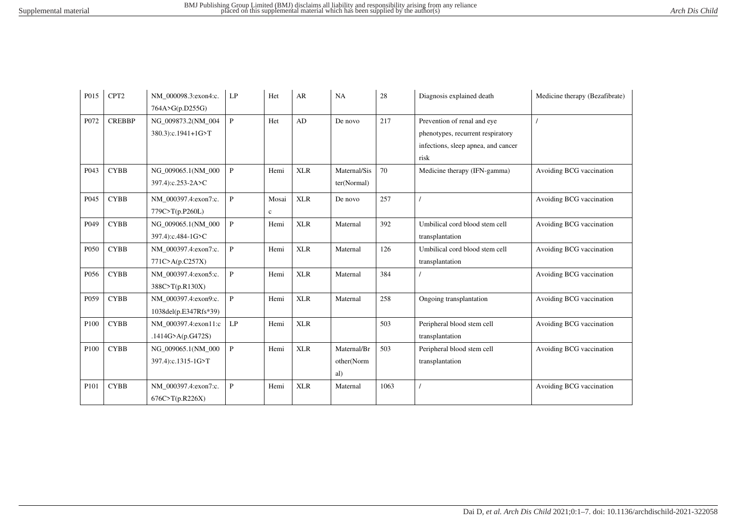| P015             | CPT <sub>2</sub> | NM_000098.3:exon4:c.  | LP           | Het   | AR         | NA           | 28   | Diagnosis explained death           | Medicine therapy (Bezafibrate) |
|------------------|------------------|-----------------------|--------------|-------|------------|--------------|------|-------------------------------------|--------------------------------|
|                  |                  | 764A>G(p.D255G)       |              |       |            |              |      |                                     |                                |
| P072             | <b>CREBBP</b>    | NG 009873.2(NM 004    | $\mathbf{P}$ | Het   | AD         | De novo      | 217  | Prevention of renal and eye         |                                |
|                  |                  | 380.3):c.1941+1G>T    |              |       |            |              |      | phenotypes, recurrent respiratory   |                                |
|                  |                  |                       |              |       |            |              |      | infections, sleep apnea, and cancer |                                |
|                  |                  |                       |              |       |            |              |      | risk                                |                                |
| P043             | <b>CYBB</b>      | NG_009065.1(NM_000    | $\mathbf{P}$ | Hemi  | <b>XLR</b> | Maternal/Sis | 70   | Medicine therapy (IFN-gamma)        | Avoiding BCG vaccination       |
|                  |                  | 397.4):c.253-2A>C     |              |       |            | ter(Normal)  |      |                                     |                                |
| P045             | <b>CYBB</b>      | NM 000397.4:exon7:c.  | $\mathbf{P}$ | Mosai | <b>XLR</b> | De novo      | 257  |                                     | Avoiding BCG vaccination       |
|                  |                  | 779C>T(p.P260L)       |              | c     |            |              |      |                                     |                                |
| P049             | <b>CYBB</b>      | NG_009065.1(NM_000    | $\, {\bf P}$ | Hemi  | <b>XLR</b> | Maternal     | 392  | Umbilical cord blood stem cell      | Avoiding BCG vaccination       |
|                  |                  | 397.4):c.484-1G>C     |              |       |            |              |      | transplantation                     |                                |
| P <sub>050</sub> | <b>CYBB</b>      | NM_000397.4:exon7:c.  | $\mathbf{P}$ | Hemi  | <b>XLR</b> | Maternal     | 126  | Umbilical cord blood stem cell      | Avoiding BCG vaccination       |
|                  |                  | 771C > A(p.C257X)     |              |       |            |              |      | transplantation                     |                                |
| P056             | <b>CYBB</b>      | NM_000397.4:exon5:c.  | $\mathbf{P}$ | Hemi  | <b>XLR</b> | Maternal     | 384  |                                     | Avoiding BCG vaccination       |
|                  |                  | 388C>T(p.R130X)       |              |       |            |              |      |                                     |                                |
| P059             | <b>CYBB</b>      | NM 000397.4:exon9:c.  | $\mathbf{P}$ | Hemi  | <b>XLR</b> | Maternal     | 258  | Ongoing transplantation             | Avoiding BCG vaccination       |
|                  |                  | 1038del(p.E347Rfs*39) |              |       |            |              |      |                                     |                                |
| P <sub>100</sub> | <b>CYBB</b>      | NM 000397.4:exon11:c  | LP           | Hemi  | <b>XLR</b> |              | 503  | Peripheral blood stem cell          | Avoiding BCG vaccination       |
|                  |                  | .1414G>A( $p.G472S$ ) |              |       |            |              |      | transplantation                     |                                |
| P100             | <b>CYBB</b>      | NG_009065.1(NM_000    | $\, {\bf P}$ | Hemi  | <b>XLR</b> | Maternal/Br  | 503  | Peripheral blood stem cell          | Avoiding BCG vaccination       |
|                  |                  | 397.4):c.1315-1G>T    |              |       |            | other(Norm   |      | transplantation                     |                                |
|                  |                  |                       |              |       |            | al)          |      |                                     |                                |
| P <sub>101</sub> | <b>CYBB</b>      | NM_000397.4:exon7:c.  | $\, {\bf P}$ | Hemi  | <b>XLR</b> | Maternal     | 1063 |                                     | Avoiding BCG vaccination       |
|                  |                  | 676C > T(p.R226X)     |              |       |            |              |      |                                     |                                |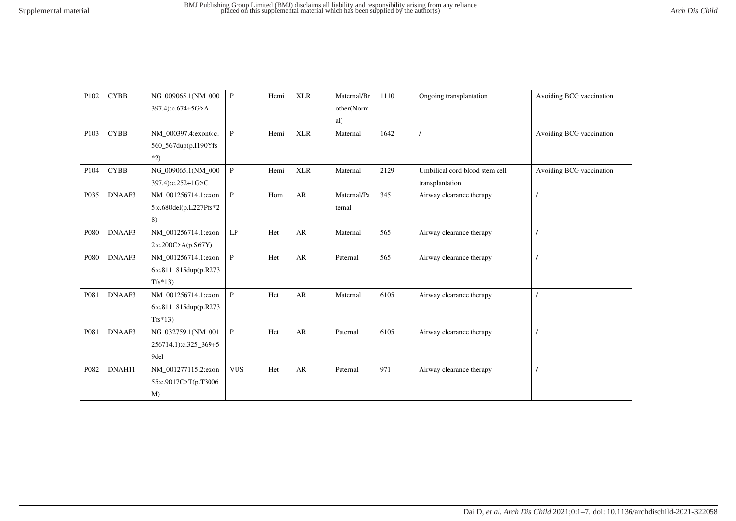| P102 | <b>CYBB</b> | NG_009065.1(NM_000<br>397.4):c.674+5G>A                   | $\mathbf{P}$ | Hemi | <b>XLR</b> | Maternal/Br<br>other(Norm<br>al) | 1110 | Ongoing transplantation                           | Avoiding BCG vaccination |
|------|-------------|-----------------------------------------------------------|--------------|------|------------|----------------------------------|------|---------------------------------------------------|--------------------------|
| P103 | <b>CYBB</b> | NM 000397.4:exon6:c.<br>560_567dup(p.I190Yfs)<br>$*2)$    | $\mathbf{P}$ | Hemi | <b>XLR</b> | Maternal                         | 1642 |                                                   | Avoiding BCG vaccination |
| P104 | <b>CYBB</b> | NG_009065.1(NM_000<br>397.4):c.252+1G>C                   | $\, {\bf P}$ | Hemi | <b>XLR</b> | Maternal                         | 2129 | Umbilical cord blood stem cell<br>transplantation | Avoiding BCG vaccination |
| P035 | DNAAF3      | NM_001256714.1:exon<br>5:c.680del(p.L227Pfs*2<br>8)       | $\mathbf{P}$ | Hom  | AR         | Maternal/Pa<br>ternal            | 345  | Airway clearance therapy                          |                          |
| P080 | DNAAF3      | NM 001256714.1:exon<br>2:c.200C>A(p.S67Y)                 | LP           | Het  | AR         | Maternal                         | 565  | Airway clearance therapy                          |                          |
| P080 | DNAAF3      | NM_001256714.1:exon<br>6:c.811_815dup(p.R273<br>$Tfs*13)$ | $\mathbf{P}$ | Het  | AR         | Paternal                         | 565  | Airway clearance therapy                          |                          |
| P081 | DNAAF3      | NM 001256714.1:exon<br>6:c.811_815dup(p.R273<br>$Tfs*13$  | $\mathbf{P}$ | Het  | AR         | Maternal                         | 6105 | Airway clearance therapy                          |                          |
| P081 | DNAAF3      | NG_032759.1(NM_001<br>256714.1):c.325_369+5<br>9del       | $\mathbf{P}$ | Het  | AR         | Paternal                         | 6105 | Airway clearance therapy                          |                          |
| P082 | DNAH11      | NM_001277115.2:exon<br>55:c.9017C>T(p.T3006<br>$M$ )      | <b>VUS</b>   | Het  | ${\sf AR}$ | Paternal                         | 971  | Airway clearance therapy                          |                          |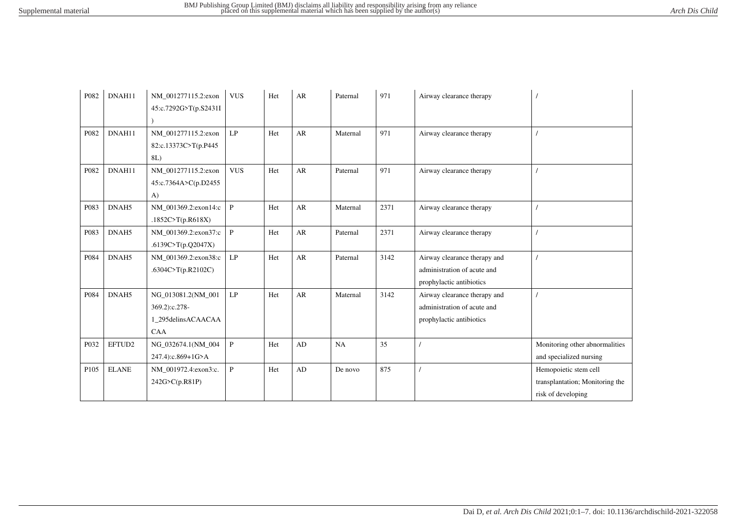| P082             | DNAH11       | NM_001277115.2:exon<br>45:c.7292G>T(p.S2431I                            | <b>VUS</b>    | Het | AR         | Paternal | 971  | Airway clearance therapy                                                                |                                                                                |
|------------------|--------------|-------------------------------------------------------------------------|---------------|-----|------------|----------|------|-----------------------------------------------------------------------------------------|--------------------------------------------------------------------------------|
| P082             | DNAH11       | NM_001277115.2:exon<br>82:c.13373C>T(p.P445<br>8L)                      | LP            | Het | ${\sf AR}$ | Maternal | 971  | Airway clearance therapy                                                                |                                                                                |
| P082             | DNAH11       | NM 001277115.2:exon<br>45:c.7364A>C(p.D2455<br>$\bf{A}$                 | <b>VUS</b>    | Het | AR         | Paternal | 971  | Airway clearance therapy                                                                |                                                                                |
| P083             | DNAH5        | NM 001369.2:exon14:c<br>.1852C>T(p.R618X)                               | $\mathbf{P}$  | Het | AR         | Maternal | 2371 | Airway clearance therapy                                                                |                                                                                |
| P083             | DNAH5        | NM_001369.2:exon37:c<br>.6139C>T(p.Q2047X)                              | $\mathbf{P}$  | Het | ${\sf AR}$ | Paternal | 2371 | Airway clearance therapy                                                                |                                                                                |
| P084             | DNAH5        | NM 001369.2:exon38:c<br>.6304C>T(p.R2102C)                              | LP            | Het | AR         | Paternal | 3142 | Airway clearance therapy and<br>administration of acute and<br>prophylactic antibiotics |                                                                                |
| P084             | DNAH5        | NG 013081.2(NM 001<br>369.2):c.278-<br>1_295delinsACAACAA<br><b>CAA</b> | $\mathrm{LP}$ | Het | AR         | Maternal | 3142 | Airway clearance therapy and<br>administration of acute and<br>prophylactic antibiotics |                                                                                |
| P032             | EFTUD2       | NG_032674.1(NM_004<br>247.4):c.869+1G>A                                 | $\, {\bf P}$  | Het | AD         | NA       | 35   |                                                                                         | Monitoring other abnormalities<br>and specialized nursing                      |
| P <sub>105</sub> | <b>ELANE</b> | NM_001972.4:exon3:c.<br>242G>C(p.R81P)                                  | $\mathbf{P}$  | Het | AD         | De novo  | 875  |                                                                                         | Hemopoietic stem cell<br>transplantation; Monitoring the<br>risk of developing |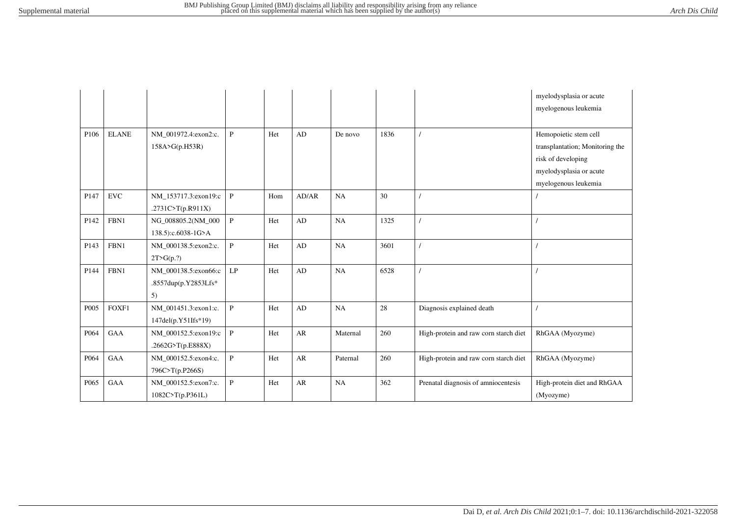|                  |              |                      |                            |     |            |          |      |                                       | myelodysplasia or acute<br>myelogenous leukemia |
|------------------|--------------|----------------------|----------------------------|-----|------------|----------|------|---------------------------------------|-------------------------------------------------|
| P106             | <b>ELANE</b> | NM_001972.4:exon2:c. | $\mathbf{P}$               | Het | AD         | De novo  | 1836 |                                       | Hemopoietic stem cell                           |
|                  |              | 158A>G(p.H53R)       |                            |     |            |          |      |                                       | transplantation; Monitoring the                 |
|                  |              |                      |                            |     |            |          |      |                                       | risk of developing                              |
|                  |              |                      |                            |     |            |          |      |                                       | myelodysplasia or acute                         |
|                  |              |                      |                            |     |            |          |      |                                       | myelogenous leukemia                            |
| P <sub>147</sub> | <b>EVC</b>   | NM 153717.3:exon19:c | $\, {\bf P}$               | Hom | AD/AR      | NA       | 30   |                                       |                                                 |
|                  |              | .2731C>T(p.R911X)    |                            |     |            |          |      |                                       |                                                 |
| P142             | FBN1         | NG_008805.2(NM_000   | $\, {\bf P}$               | Het | AD         | $\rm NA$ | 1325 |                                       |                                                 |
|                  |              | 138.5):c.6038-1G>A   |                            |     |            |          |      |                                       |                                                 |
| P143             | FBN1         | NM 000138.5:exon2:c. | $\, {\bf P}$               | Het | AD         | $\rm NA$ | 3601 |                                       |                                                 |
|                  |              | 2T>G(p.?)            |                            |     |            |          |      |                                       |                                                 |
| P144             | FBN1         | NM 000138.5:exon66:c | $\ensuremath{\mathrm{LP}}$ | Het | AD         | NA       | 6528 |                                       |                                                 |
|                  |              | .8557dup(p.Y2853Lfs* |                            |     |            |          |      |                                       |                                                 |
|                  |              | 5)                   |                            |     |            |          |      |                                       |                                                 |
| P005             | FOXF1        | NM_001451.3:exon1:c. | $\mathbf{P}$               | Het | AD         | NA       | 28   | Diagnosis explained death             |                                                 |
|                  |              | 147del(p.Y51Ifs*19)  |                            |     |            |          |      |                                       |                                                 |
| P064             | GAA          | NM_000152.5:exon19:c | $\mathbf{P}$               | Het | ${\sf AR}$ | Maternal | 260  | High-protein and raw corn starch diet | RhGAA (Myozyme)                                 |
|                  |              | .2662G>T(p.E888X)    |                            |     |            |          |      |                                       |                                                 |
| P064             | GAA          | NM_000152.5:exon4:c. | $\mathbf{P}$               | Het | ${\sf AR}$ | Paternal | 260  | High-protein and raw corn starch diet | RhGAA (Myozyme)                                 |
|                  |              | 796C>T(p.P266S)      |                            |     |            |          |      |                                       |                                                 |
| P <sub>065</sub> | GAA          | NM_000152.5:exon7:c. | $\, {\bf P}$               | Het | AR         | NA       | 362  | Prenatal diagnosis of amniocentesis   | High-protein diet and RhGAA                     |
|                  |              | 1082C>T(p.P361L)     |                            |     |            |          |      |                                       | (Myozyme)                                       |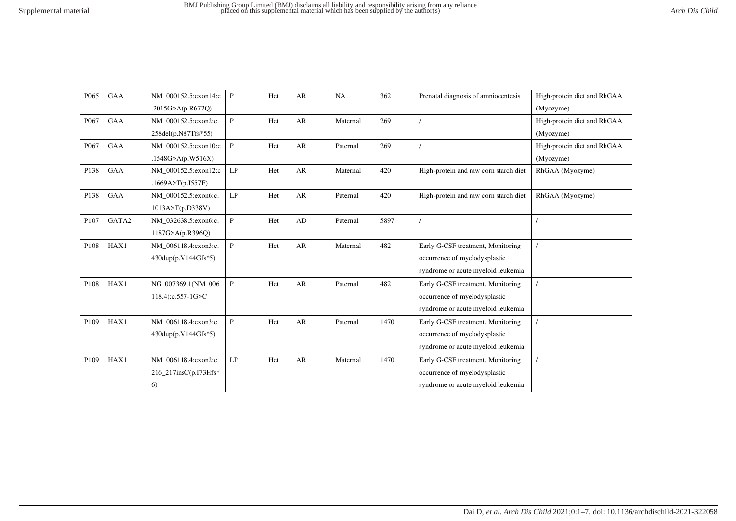| P065             | GAA        | NM 000152.5:exon14:c          | $\mathbf{P}$ | Het | AR        | NA       | 362  | Prenatal diagnosis of amniocentesis   | High-protein diet and RhGAA |
|------------------|------------|-------------------------------|--------------|-----|-----------|----------|------|---------------------------------------|-----------------------------|
|                  |            | .2015G>A(p.R672Q)             |              |     |           |          |      |                                       | (Myozyme)                   |
| P <sub>067</sub> | <b>GAA</b> | NM 000152.5:exon2:c.          | $\mathbf{P}$ | Het | AR        | Maternal | 269  |                                       | High-protein diet and RhGAA |
|                  |            | 258del(p.N87Tfs*55)           |              |     |           |          |      |                                       | (Myozyme)                   |
| P067             | <b>GAA</b> | NM 000152.5:exon10:c          | P            | Het | AR        | Paternal | 269  |                                       | High-protein diet and RhGAA |
|                  |            | .1548G>A(p.W516X)             |              |     |           |          |      |                                       | (Myozyme)                   |
| P138             | GAA        | NM_000152.5:exon12:c          | LP           | Het | AR        | Maternal | 420  | High-protein and raw corn starch diet | RhGAA (Myozyme)             |
|                  |            | .1669A>T(p.I557F)             |              |     |           |          |      |                                       |                             |
| P138             | <b>GAA</b> | NM 000152.5:exon6:c.          | LP           | Het | AR        | Paternal | 420  | High-protein and raw corn starch diet | RhGAA (Myozyme)             |
|                  |            | 1013A > T(p.D338V)            |              |     |           |          |      |                                       |                             |
| P107             | GATA2      | NM 032638.5:exon6:c.          | $\mathbf{P}$ | Het | $\rm{AD}$ | Paternal | 5897 |                                       |                             |
|                  |            | 1187G>A(p.R396Q)              |              |     |           |          |      |                                       |                             |
| P108             | HAX1       | NM 006118.4:exon3:c.          | $\mathbf{P}$ | Het | AR        | Maternal | 482  | Early G-CSF treatment, Monitoring     |                             |
|                  |            | $430 \text{dup}(p.V144Gfs*5)$ |              |     |           |          |      | occurrence of myelodysplastic         |                             |
|                  |            |                               |              |     |           |          |      | syndrome or acute myeloid leukemia    |                             |
| P108             | HAX1       | NG 007369.1(NM 006            | P            | Het | AR        | Paternal | 482  | Early G-CSF treatment, Monitoring     |                             |
|                  |            | 118.4):c.557-1G>C             |              |     |           |          |      | occurrence of myelodysplastic         |                             |
|                  |            |                               |              |     |           |          |      | syndrome or acute myeloid leukemia    |                             |
| P109             | HAX1       | NM_006118.4:exon3:c.          | $\mathbf{P}$ | Het | AR        | Paternal | 1470 | Early G-CSF treatment, Monitoring     |                             |
|                  |            | 430dup(p.V144Gfs*5)           |              |     |           |          |      | occurrence of myelodysplastic         |                             |
|                  |            |                               |              |     |           |          |      | syndrome or acute myeloid leukemia    |                             |
| P109             | HAX1       | NM_006118.4:exon2:c.          | LP           | Het | AR        | Maternal | 1470 | Early G-CSF treatment, Monitoring     |                             |
|                  |            | 216_217insC(p.I73Hfs*         |              |     |           |          |      | occurrence of myelodysplastic         |                             |
|                  |            | 6)                            |              |     |           |          |      | syndrome or acute myeloid leukemia    |                             |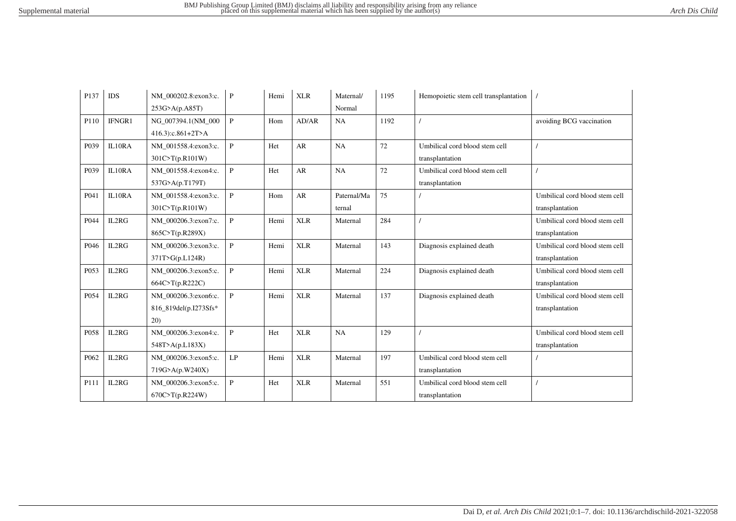| P <sub>137</sub> | IDS    | NM 000202.8:exon3:c.  | P              | Hemi | <b>XLR</b> | Maternal/   | 1195 | Hemopoietic stem cell transplantation |                                |
|------------------|--------|-----------------------|----------------|------|------------|-------------|------|---------------------------------------|--------------------------------|
|                  |        | 253G>A(p.A85T)        |                |      |            | Normal      |      |                                       |                                |
| P110             | IFNGR1 | NG 007394.1(NM 000    | $\mathbf{P}$   | Hom  | AD/AR      | NA          | 1192 |                                       | avoiding BCG vaccination       |
|                  |        | 416.3):c.861+2T>A     |                |      |            |             |      |                                       |                                |
| P039             | IL10RA | NM 001558.4:exon3:c.  | $\mathbf{P}$   | Het  | AR         | NA          | 72   | Umbilical cord blood stem cell        |                                |
|                  |        | 301C>T(p.R101W)       |                |      |            |             |      | transplantation                       |                                |
| P039             | IL10RA | NM_001558.4:exon4:c.  | $\mathbf{P}$   | Het  | AR         | NA          | 72   | Umbilical cord blood stem cell        |                                |
|                  |        | 537G>A(p.T179T)       |                |      |            |             |      | transplantation                       |                                |
| P041             | IL10RA | NM_001558.4:exon3:c.  | $\mathbf{P}$   | Hom  | AR         | Paternal/Ma | 75   |                                       | Umbilical cord blood stem cell |
|                  |        | 301C>T(p.R101W)       |                |      |            | ternal      |      |                                       | transplantation                |
| P044             | IL2RG  | NM 000206.3:exon7:c.  | $\mathbf{P}$   | Hemi | <b>XLR</b> | Maternal    | 284  |                                       | Umbilical cord blood stem cell |
|                  |        | 865C>T(p.R289X)       |                |      |            |             |      |                                       | transplantation                |
| P046             | IL2RG  | NM 000206.3:exon3:c.  | $\mathbf{P}$   | Hemi | <b>XLR</b> | Maternal    | 143  | Diagnosis explained death             | Umbilical cord blood stem cell |
|                  |        | 371T>G(p.L124R)       |                |      |            |             |      |                                       | transplantation                |
| P053             | IL2RG  | NM 000206.3:exon5:c.  | $\mathbf{P}$   | Hemi | <b>XLR</b> | Maternal    | 224  | Diagnosis explained death             | Umbilical cord blood stem cell |
|                  |        | 664C>T(p.R222C)       |                |      |            |             |      |                                       | transplantation                |
| P054             | IL2RG  | NM 000206.3:exon6:c.  | $\mathbf{P}$   | Hemi | <b>XLR</b> | Maternal    | 137  | Diagnosis explained death             | Umbilical cord blood stem cell |
|                  |        | 816_819del(p.I273Sfs* |                |      |            |             |      |                                       | transplantation                |
|                  |        | 20)                   |                |      |            |             |      |                                       |                                |
| P058             | IL2RG  | NM 000206.3:exon4:c.  | $\mathbf{P}$   | Het  | <b>XLR</b> | NA          | 129  |                                       | Umbilical cord blood stem cell |
|                  |        | 548T > A(p.L183X)     |                |      |            |             |      |                                       | transplantation                |
| P062             | IL2RG  | NM 000206.3:exon5:c.  | LP             | Hemi | <b>XLR</b> | Maternal    | 197  | Umbilical cord blood stem cell        |                                |
|                  |        | 719G>A(p.W240X)       |                |      |            |             |      | transplantation                       |                                |
| P111             | IL2RG  | NM 000206.3:exon5:c.  | $\overline{P}$ | Het  | <b>XLR</b> | Maternal    | 551  | Umbilical cord blood stem cell        |                                |
|                  |        | 670C > T(p.R224W)     |                |      |            |             |      | transplantation                       |                                |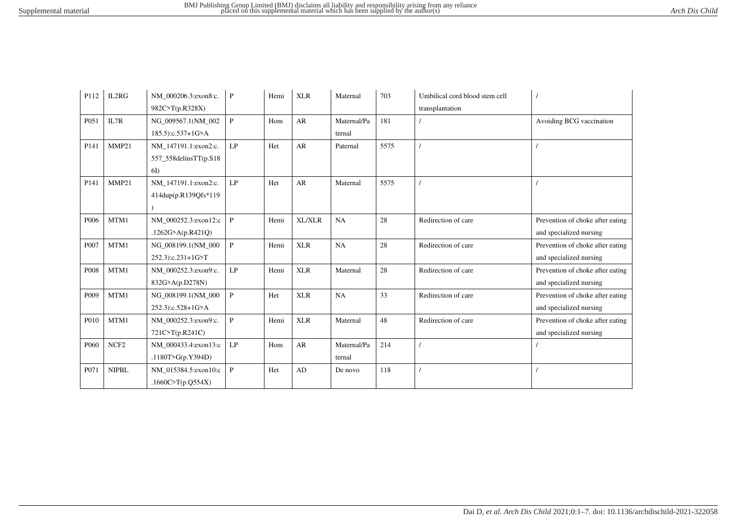| P112             | IL2RG            | NM 000206.3:exon8:c.  | $\mathbf{P}$  | Hemi | <b>XLR</b> | Maternal    | 703  | Umbilical cord blood stem cell |                                  |
|------------------|------------------|-----------------------|---------------|------|------------|-------------|------|--------------------------------|----------------------------------|
|                  |                  | 982C>T(p.R328X)       |               |      |            |             |      | transplantation                |                                  |
| P051             | IL7R             | NG 009567.1(NM 002    | $\mathbf{P}$  | Hom  | AR         | Maternal/Pa | 181  |                                | Avoiding BCG vaccination         |
|                  |                  | 185.5):c.537+1G>A     |               |      |            | ternal      |      |                                |                                  |
| P141             | MMP21            | NM 147191.1:exon2:c.  | LP            | Het  | AR         | Paternal    | 5575 |                                |                                  |
|                  |                  | 557_558delinsTT(p.S18 |               |      |            |             |      |                                |                                  |
|                  |                  | 6I)                   |               |      |            |             |      |                                |                                  |
| P <sub>141</sub> | MMP21            | NM 147191.1:exon2:c.  | LP            | Het  | AR         | Maternal    | 5575 |                                |                                  |
|                  |                  | 414dup(p.R139Qfs*119  |               |      |            |             |      |                                |                                  |
|                  |                  |                       |               |      |            |             |      |                                |                                  |
| P006             | MTM1             | NM_000252.3:exon12:c  | $\, {\bf P}$  | Hemi | XL/XLR     | NA          | 28   | Redirection of care            | Prevention of choke after eating |
|                  |                  | .1262G>A(p.R421Q)     |               |      |            |             |      |                                | and specialized nursing          |
| P007             | MTM1             | NG_008199.1(NM_000    | $\mathbf{P}$  | Hemi | <b>XLR</b> | NA          | 28   | Redirection of care            | Prevention of choke after eating |
|                  |                  | 252.3):c.231+1G>T     |               |      |            |             |      |                                | and specialized nursing          |
| P008             | MTM1             | NM 000252.3:exon9:c.  | LP            | Hemi | <b>XLR</b> | Maternal    | 28   | Redirection of care            | Prevention of choke after eating |
|                  |                  | 832G>A(p.D278N)       |               |      |            |             |      |                                | and specialized nursing          |
| P <sub>009</sub> | MTM1             | NG_008199.1(NM_000    | $\mathbf{P}$  | Het  | <b>XLR</b> | NA          | 33   | Redirection of care            | Prevention of choke after eating |
|                  |                  | 252.3):c.528+1G>A     |               |      |            |             |      |                                | and specialized nursing          |
| P010             | MTM1             | NM 000252.3:exon9:c.  | $\mathbf{P}$  | Hemi | <b>XLR</b> | Maternal    | 48   | Redirection of care            | Prevention of choke after eating |
|                  |                  | 721C>T(p.R241C)       |               |      |            |             |      |                                | and specialized nursing          |
| P <sub>060</sub> | NCF <sub>2</sub> | NM 000433.4:exon13:c  | $\mathrm{LP}$ | Hom  | ${\sf AR}$ | Maternal/Pa | 214  |                                |                                  |
|                  |                  | .1180T>G(p.Y394D)     |               |      |            | ternal      |      |                                |                                  |
| P071             | <b>NIPBL</b>     | NM_015384.5:exon10:c  | $\mathbf{P}$  | Het  | AD         | De novo     | 118  |                                |                                  |
|                  |                  | .1660C>T(p.Q554X)     |               |      |            |             |      |                                |                                  |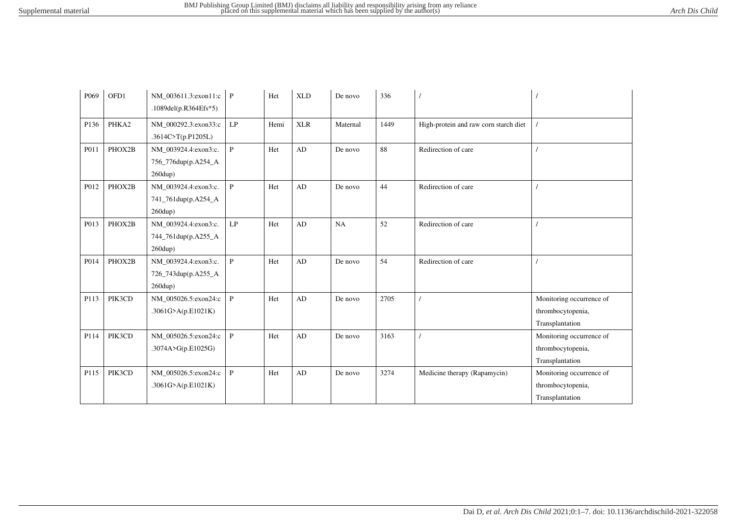| P <sub>069</sub> | OFD1   | NM 003611.3:exon11:c<br>.1089del(p.R364Efs*5)                     | $\mathbf{P}$ | Het  | <b>XLD</b> | De novo  | 336  |                                       |                                                                  |
|------------------|--------|-------------------------------------------------------------------|--------------|------|------------|----------|------|---------------------------------------|------------------------------------------------------------------|
| P136             | PHKA2  | NM_000292.3:exon33:c<br>.3614C>T(p.P1205L)                        | LP           | Hemi | <b>XLR</b> | Maternal | 1449 | High-protein and raw corn starch diet |                                                                  |
| P011             | PHOX2B | NM_003924.4:exon3:c.<br>756_776dup(p.A254_A<br>$260$ dup)         | $\mathbf{P}$ | Het  | AD         | De novo  | 88   | Redirection of care                   |                                                                  |
| P012             | PHOX2B | NM_003924.4:exon3:c.<br>741_761dup(p.A254_A<br>$260$ dup)         | $\mathbf{P}$ | Het  | AD         | De novo  | 44   | Redirection of care                   |                                                                  |
| P013             | PHOX2B | NM_003924.4:exon3:c.<br>744_761dup(p.A255_A<br>$260$ dup)         | LP           | Het  | AD         | NA       | 52   | Redirection of care                   |                                                                  |
| P014             | PHOX2B | NM_003924.4:exon3:c.<br>726_743dup(p.A255_A<br>$260 \text{dup}$ ) | $\mathbf{P}$ | Het  | AD         | De novo  | 54   | Redirection of care                   |                                                                  |
| P113             | PIK3CD | NM_005026.5:exon24:c<br>.3061G>A(p.E1021K)                        | $\mathbf{P}$ | Het  | AD         | De novo  | 2705 |                                       | Monitoring occurrence of<br>thrombocytopenia,<br>Transplantation |
| P114             | PIK3CD | NM_005026.5:exon24:c<br>.3074A>G(p.E1025G)                        | $\, {\bf P}$ | Het  | AD         | De novo  | 3163 |                                       | Monitoring occurrence of<br>thrombocytopenia,<br>Transplantation |
| P115             | PIK3CD | NM_005026.5:exon24:c<br>.3061G>A(p.E1021K)                        | $\mathbf{P}$ | Het  | AD         | De novo  | 3274 | Medicine therapy (Rapamycin)          | Monitoring occurrence of<br>thrombocytopenia,<br>Transplantation |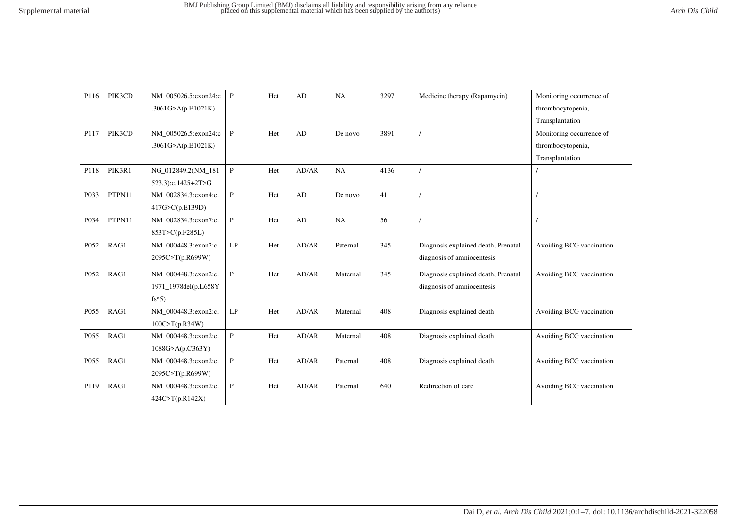| P116 | PIK3CD | NM 005026.5:exon24:c | $\mathbf{P}$               | Het | AD         | NA          | 3297 | Medicine therapy (Rapamycin)        | Monitoring occurrence of |
|------|--------|----------------------|----------------------------|-----|------------|-------------|------|-------------------------------------|--------------------------|
|      |        | .3061G>A(p.E1021K)   |                            |     |            |             |      |                                     | thrombocytopenia,        |
|      |        |                      |                            |     |            |             |      |                                     | Transplantation          |
| P117 | PIK3CD | NM_005026.5:exon24:c | $\mathbf{P}$               | Het | AD         | De novo     | 3891 |                                     | Monitoring occurrence of |
|      |        | .3061G>A(p.E1021K)   |                            |     |            |             |      |                                     | thrombocytopenia,        |
|      |        |                      |                            |     |            |             |      |                                     | Transplantation          |
| P118 | PIK3R1 | NG 012849.2(NM 181   | $\mathbf{P}$               | Het | AD/AR      | NA          | 4136 |                                     |                          |
|      |        | 523.3):c.1425+2T>G   |                            |     |            |             |      |                                     |                          |
| P033 | PTPN11 | NM 002834.3:exon4:c. | $\mathbf{P}$               | Het | AD         | De novo     | 41   |                                     |                          |
|      |        | 417G>C(p.E139D)      |                            |     |            |             |      |                                     |                          |
| P034 | PTPN11 | NM_002834.3:exon7:c. | $\, {\bf P}$               | Het | ${\rm AD}$ | $_{\rm NA}$ | 56   |                                     |                          |
|      |        | 853T>C(p.F285L)      |                            |     |            |             |      |                                     |                          |
| P052 | RAG1   | NM 000448.3:exon2:c. | $\ensuremath{\mathrm{LP}}$ | Het | AD/AR      | Paternal    | 345  | Diagnosis explained death, Prenatal | Avoiding BCG vaccination |
|      |        | 2095C>T(p.R699W)     |                            |     |            |             |      | diagnosis of amniocentesis          |                          |
| P052 | RAG1   | NM 000448.3:exon2:c. | $\mathbf{P}$               | Het | AD/AR      | Maternal    | 345  | Diagnosis explained death, Prenatal | Avoiding BCG vaccination |
|      |        | 1971_1978del(p.L658Y |                            |     |            |             |      | diagnosis of amniocentesis          |                          |
|      |        | $fs*5)$              |                            |     |            |             |      |                                     |                          |
| P055 | RAG1   | NM 000448.3:exon2:c. | $\mathrm{LP}$              | Het | AD/AR      | Maternal    | 408  | Diagnosis explained death           | Avoiding BCG vaccination |
|      |        | 100C>T(p.R34W)       |                            |     |            |             |      |                                     |                          |
| P055 | RAG1   | NM 000448.3:exon2:c. | $\mathbf{P}$               | Het | AD/AR      | Maternal    | 408  | Diagnosis explained death           | Avoiding BCG vaccination |
|      |        | 1088G > A(p.C363Y)   |                            |     |            |             |      |                                     |                          |
| P055 | RAG1   | NM_000448.3:exon2:c. | $\mathbf{P}$               | Het | AD/AR      | Paternal    | 408  | Diagnosis explained death           | Avoiding BCG vaccination |
|      |        | 2095C>T(p.R699W)     |                            |     |            |             |      |                                     |                          |
| P119 | RAG1   | NM_000448.3:exon2:c. | $\mathbf{P}$               | Het | AD/AR      | Paternal    | 640  | Redirection of care                 | Avoiding BCG vaccination |
|      |        | 424C>T(p.R142X)      |                            |     |            |             |      |                                     |                          |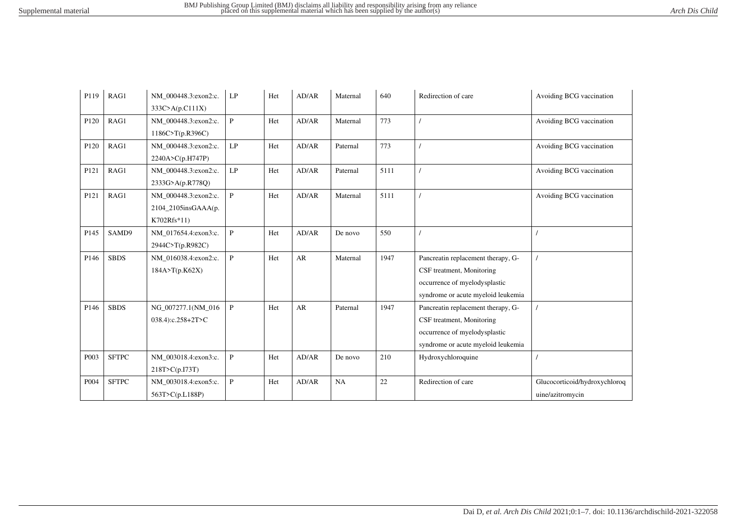| P119              | RAG1         | NM 000448.3:exon2:c. | LP           | Het | AD/AR | Maternal | 640  | Redirection of care                | Avoiding BCG vaccination      |
|-------------------|--------------|----------------------|--------------|-----|-------|----------|------|------------------------------------|-------------------------------|
|                   |              | 333C>A(p.C111X)      |              |     |       |          |      |                                    |                               |
| P120              | RAG1         | NM 000448.3:exon2:c. | $\mathbf{P}$ | Het | AD/AR | Maternal | 773  |                                    | Avoiding BCG vaccination      |
|                   |              | 1186C>T(p.R396C)     |              |     |       |          |      |                                    |                               |
| P120              | RAG1         | NM 000448.3:exon2:c. | LP           | Het | AD/AR | Paternal | 773  |                                    | Avoiding BCG vaccination      |
|                   |              | 2240A>C(p.H747P)     |              |     |       |          |      |                                    |                               |
| P <sub>121</sub>  | RAG1         | NM_000448.3:exon2:c. | LP           | Het | AD/AR | Paternal | 5111 |                                    | Avoiding BCG vaccination      |
|                   |              | 2333G>A(p.R778Q)     |              |     |       |          |      |                                    |                               |
| P121              | RAG1         | NM_000448.3:exon2:c. | $\mathbf{P}$ | Het | AD/AR | Maternal | 5111 |                                    | Avoiding BCG vaccination      |
|                   |              | 2104_2105insGAAA(p.  |              |     |       |          |      |                                    |                               |
|                   |              | K702Rfs*11)          |              |     |       |          |      |                                    |                               |
| P145              | SAMD9        | NM_017654.4:exon3:c. | $\mathbf{P}$ | Het | AD/AR | De novo  | 550  |                                    |                               |
|                   |              | 2944C>T(p.R982C)     |              |     |       |          |      |                                    |                               |
| P146              | <b>SBDS</b>  | NM 016038.4:exon2:c. | $\mathbf{P}$ | Het | AR    | Maternal | 1947 | Pancreatin replacement therapy, G- |                               |
|                   |              | 184A>T(p.K62X)       |              |     |       |          |      | CSF treatment, Monitoring          |                               |
|                   |              |                      |              |     |       |          |      | occurrence of myelodysplastic      |                               |
|                   |              |                      |              |     |       |          |      | syndrome or acute myeloid leukemia |                               |
| P146              | <b>SBDS</b>  | NG_007277.1(NM_016   | $\mathbf{P}$ | Het | AR    | Paternal | 1947 | Pancreatin replacement therapy, G- |                               |
|                   |              | 038.4):c.258+2T>C    |              |     |       |          |      | CSF treatment, Monitoring          |                               |
|                   |              |                      |              |     |       |          |      | occurrence of myelodysplastic      |                               |
|                   |              |                      |              |     |       |          |      | syndrome or acute myeloid leukemia |                               |
| P <sub>00</sub> 3 | <b>SFTPC</b> | NM 003018.4:exon3:c. | $\mathbf{P}$ | Het | AD/AR | De novo  | 210  | Hydroxychloroquine                 |                               |
|                   |              | 218T>C(p.I73T)       |              |     |       |          |      |                                    |                               |
| P004              | <b>SFTPC</b> | NM_003018.4:exon5:c. | $\mathbf{P}$ | Het | AD/AR | NA       | 22   | Redirection of care                | Glucocorticoid/hydroxychloroq |
|                   |              | 563T>C(p.L188P)      |              |     |       |          |      |                                    | uine/azitromycin              |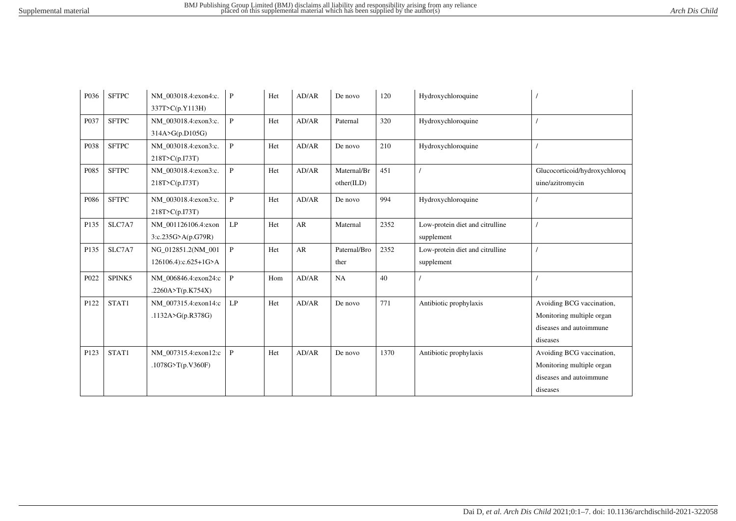| P036 | <b>SFTPC</b> | NM_003018.4:exon4:c.  | $\mathbf P$   | Het | AD/AR | De novo      | 120  | Hydroxychloroquine              |                               |
|------|--------------|-----------------------|---------------|-----|-------|--------------|------|---------------------------------|-------------------------------|
|      |              | 337T>C(p.Y113H)       |               |     |       |              |      |                                 |                               |
| P037 | <b>SFTPC</b> | NM_003018.4:exon3:c.  | $\, {\bf P}$  | Het | AD/AR | Paternal     | 320  | Hydroxychloroquine              |                               |
|      |              | 314A>G(p.D105G)       |               |     |       |              |      |                                 |                               |
| P038 | <b>SFTPC</b> | NM 003018.4:exon3:c.  | $\, {\bf P}$  | Het | AD/AR | De novo      | 210  | Hydroxychloroquine              |                               |
|      |              | 218T>C(p.I73T)        |               |     |       |              |      |                                 |                               |
| P085 | <b>SFTPC</b> | NM 003018.4:exon3:c.  | $\mathbf{P}$  | Het | AD/AR | Maternal/Br  | 451  |                                 | Glucocorticoid/hydroxychloroq |
|      |              | 218T>C(p.I73T)        |               |     |       | other(ILD)   |      |                                 | uine/azitromycin              |
| P086 | <b>SFTPC</b> | NM 003018.4:exon3:c.  | $\, {\bf P}$  | Het | AD/AR | De novo      | 994  | Hydroxychloroquine              |                               |
|      |              | 218T>C(p.I73T)        |               |     |       |              |      |                                 |                               |
| P135 | SLC7A7       | NM_001126106.4:exon   | $\mathrm{LP}$ | Het | AR    | Maternal     | 2352 | Low-protein diet and citrulline |                               |
|      |              | 3: c.235G > A(p.G79R) |               |     |       |              |      | supplement                      |                               |
| P135 | SLC7A7       | NG_012851.2(NM_001    | $\mathbf{P}$  | Het | AR    | Paternal/Bro | 2352 | Low-protein diet and citrulline |                               |
|      |              | 126106.4):c.625+1G>A  |               |     |       | ther         |      | supplement                      |                               |
| P022 | SPINK5       | NM 006846.4:exon24:c  | $\mathbf{P}$  | Hom | AD/AR | NA           | 40   |                                 |                               |
|      |              | .2260A>T(p.K754X)     |               |     |       |              |      |                                 |                               |
| P122 | STAT1        | NM 007315.4:exon14:c  | $\mathrm{LP}$ | Het | AD/AR | De novo      | 771  | Antibiotic prophylaxis          | Avoiding BCG vaccination,     |
|      |              | .1132A>G(p.R378G)     |               |     |       |              |      |                                 | Monitoring multiple organ     |
|      |              |                       |               |     |       |              |      |                                 | diseases and autoimmune       |
|      |              |                       |               |     |       |              |      |                                 | diseases                      |
| P123 | STAT1        | NM 007315.4:exon12:c  | $\mathbf{P}$  | Het | AD/AR | De novo      | 1370 | Antibiotic prophylaxis          | Avoiding BCG vaccination,     |
|      |              | .1078G>T(p.V360F)     |               |     |       |              |      |                                 | Monitoring multiple organ     |
|      |              |                       |               |     |       |              |      |                                 | diseases and autoimmune       |
|      |              |                       |               |     |       |              |      |                                 | diseases                      |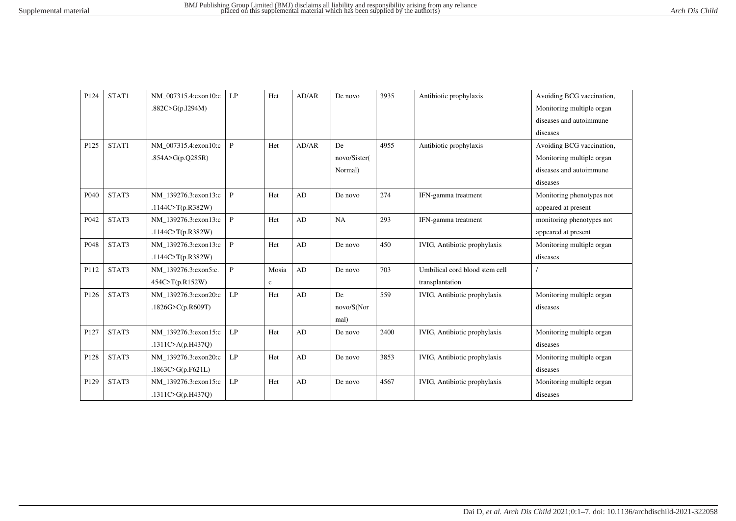| P124 | STAT1 | NM 007315.4:exon10:c | LP           | Het         | AD/AR | De novo      | 3935 | Antibiotic prophylaxis              | Avoiding BCG vaccination, |
|------|-------|----------------------|--------------|-------------|-------|--------------|------|-------------------------------------|---------------------------|
|      |       | .882C>G(p.I294M)     |              |             |       |              |      |                                     | Monitoring multiple organ |
|      |       |                      |              |             |       |              |      |                                     | diseases and autoimmune   |
|      |       |                      |              |             |       |              |      |                                     | diseases                  |
| P125 | STAT1 | NM 007315.4:exon10:c | $\mathbf{P}$ | Het         | AD/AR | De           | 4955 | Antibiotic prophylaxis              | Avoiding BCG vaccination, |
|      |       | .854A>G(p.Q285R)     |              |             |       | novo/Sister( |      |                                     | Monitoring multiple organ |
|      |       |                      |              |             |       | Normal)      |      |                                     | diseases and autoimmune   |
|      |       |                      |              |             |       |              |      |                                     | diseases                  |
| P040 | STAT3 | NM 139276.3:exon13:c | $\mathbf{P}$ | Het         | AD    | De novo      | 274  | IFN-gamma treatment                 | Monitoring phenotypes not |
|      |       | .1144C>T(p.R382W)    |              |             |       |              |      |                                     | appeared at present       |
| P042 | STAT3 | NM 139276.3:exon13:c | $\mathbf{P}$ | Het         | AD    | NA           | 293  | IFN-gamma treatment                 | monitoring phenotypes not |
|      |       | .1144C>T(p.R382W)    |              |             |       |              |      |                                     | appeared at present       |
| P048 | STAT3 | NM 139276.3:exon13:c | $\mathbf{P}$ | Het         | AD    | De novo      | 450  | IVIG, Antibiotic prophylaxis        | Monitoring multiple organ |
|      |       | .1144C>T(p.R382W)    |              |             |       |              |      |                                     | diseases                  |
| P112 | STAT3 | NM 139276.3:exon5:c. | $\, {\bf P}$ | Mosia       | AD    | De novo      | 703  | Umbilical cord blood stem cell      |                           |
|      |       | 454C>T(p.R152W)      |              | $\mathbf c$ |       |              |      | transplantation                     |                           |
| P126 | STAT3 | NM 139276.3:exon20:c | LP           | Het         | AD    | De           | 559  | <b>IVIG, Antibiotic prophylaxis</b> | Monitoring multiple organ |
|      |       | .1826G>C(p.R609T)    |              |             |       | novo/S(Nor   |      |                                     | diseases                  |
|      |       |                      |              |             |       | mal)         |      |                                     |                           |
| P127 | STAT3 | NM 139276.3:exon15:c | LP           | Het         | AD    | De novo      | 2400 | <b>IVIG, Antibiotic prophylaxis</b> | Monitoring multiple organ |
|      |       | .1311C>A(p.H437Q)    |              |             |       |              |      |                                     | diseases                  |
| P128 | STAT3 | NM 139276.3:exon20:c | LP           | Het         | AD    | De novo      | 3853 | <b>IVIG, Antibiotic prophylaxis</b> | Monitoring multiple organ |
|      |       | .1863C>G(p.F621L)    |              |             |       |              |      |                                     | diseases                  |
| P129 | STAT3 | NM 139276.3:exon15:c | LP           | Het         | AD    | De novo      | 4567 | IVIG, Antibiotic prophylaxis        | Monitoring multiple organ |
|      |       | .1311C>G(p.H437Q)    |              |             |       |              |      |                                     | diseases                  |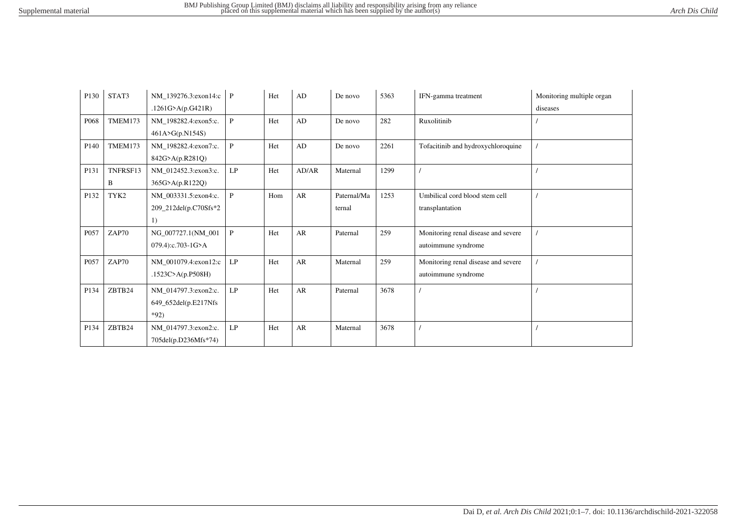| P130             | STAT3         | NM_139276.3:exon14:c P<br>.1261G>A(p.G421R)            |               | Het | $\mathbf{A}\mathbf{D}$ | De novo               | 5363 | IFN-gamma treatment                                        | Monitoring multiple organ<br>diseases |
|------------------|---------------|--------------------------------------------------------|---------------|-----|------------------------|-----------------------|------|------------------------------------------------------------|---------------------------------------|
| P068             | TMEM173       | NM_198282.4:exon5:c.<br>461A>G(p.N154S)                | $\mathsf{P}$  | Het | AD                     | De novo               | 282  | Ruxolitinib                                                |                                       |
| P <sub>140</sub> | TMEM173       | NM_198282.4:exon7:c.<br>842G>A(p.R281Q)                | $\mathbf{P}$  | Het | AD                     | De novo               | 2261 | Tofacitinib and hydroxychloroquine                         |                                       |
| P131             | TNFRSF13<br>B | NM 012452.3:exon3:c.<br>365G>A(p.R122Q)                | LP            | Het | AD/AR                  | Maternal              | 1299 |                                                            |                                       |
| P132             | TYK2          | NM_003331.5:exon4:c.<br>209_212del(p.C70Sfs*2<br>1)    | $\mathsf{P}$  | Hom | AR                     | Paternal/Ma<br>ternal | 1253 | Umbilical cord blood stem cell<br>transplantation          |                                       |
| P057             | ZAP70         | NG 007727.1(NM 001<br>079.4):c.703-1G>A                | $\mathsf{P}$  | Het | AR                     | Paternal              | 259  | Monitoring renal disease and severe<br>autoimmune syndrome |                                       |
| P057             | ZAP70         | NM_001079.4:exon12:c<br>.1523C>A(p.P508H)              | LP            | Het | AR                     | Maternal              | 259  | Monitoring renal disease and severe<br>autoimmune syndrome |                                       |
| P134             | ZBTB24        | NM_014797.3:exon2:c.<br>649_652del(p.E217Nfs<br>$*92)$ | $\mathrm{LP}$ | Het | AR                     | Paternal              | 3678 |                                                            |                                       |
| P134             | ZBTB24        | NM_014797.3:exon2:c.<br>705del(p.D236Mfs*74)           | LP            | Het | AR                     | Maternal              | 3678 |                                                            |                                       |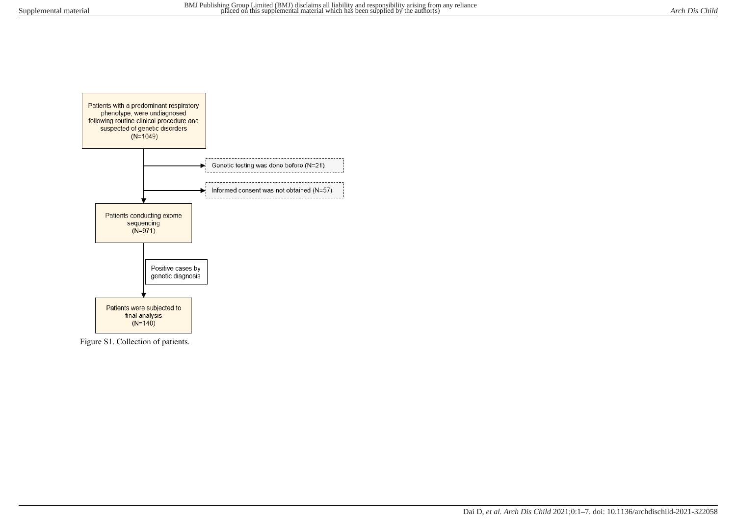

Figure S1. Collection of patients.